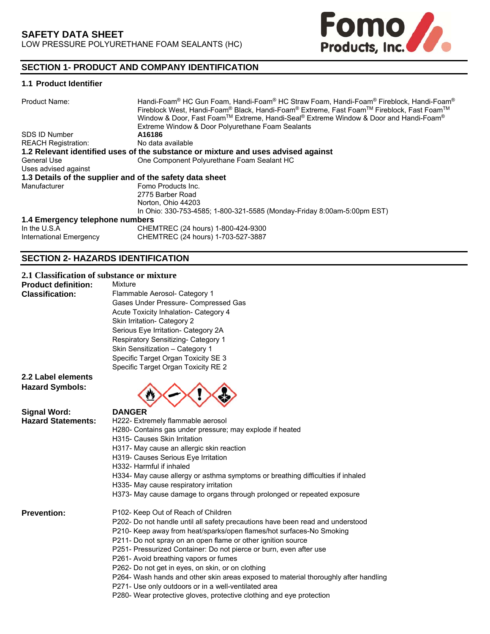

# **SECTION 1- PRODUCT AND COMPANY IDENTIFICATION**

## **1.1 Product Identifier**

| Product Name:                                            | Handi-Foam® HC Gun Foam, Handi-Foam® HC Straw Foam, Handi-Foam® Fireblock, Handi-Foam®<br>Fireblock West, Handi-Foam® Black, Handi-Foam® Extreme, Fast Foam™ Fireblock, Fast Foam™<br>Window & Door, Fast Foam™ Extreme, Handi-Seal® Extreme Window & Door and Handi-Foam®<br>Extreme Window & Door Polyurethane Foam Sealants |
|----------------------------------------------------------|--------------------------------------------------------------------------------------------------------------------------------------------------------------------------------------------------------------------------------------------------------------------------------------------------------------------------------|
| SDS ID Number                                            | A16186                                                                                                                                                                                                                                                                                                                         |
| <b>REACH Registration:</b>                               | No data available                                                                                                                                                                                                                                                                                                              |
|                                                          | 1.2 Relevant identified uses of the substance or mixture and uses advised against                                                                                                                                                                                                                                              |
| <b>General Use</b>                                       | One Component Polyurethane Foam Sealant HC                                                                                                                                                                                                                                                                                     |
| Uses advised against                                     |                                                                                                                                                                                                                                                                                                                                |
| 1.3 Details of the supplier and of the safety data sheet |                                                                                                                                                                                                                                                                                                                                |
| Manufacturer                                             | Fomo Products Inc.                                                                                                                                                                                                                                                                                                             |
|                                                          | 2775 Barber Road                                                                                                                                                                                                                                                                                                               |
|                                                          | Norton, Ohio 44203                                                                                                                                                                                                                                                                                                             |
|                                                          | In Ohio: 330-753-4585; 1-800-321-5585 (Monday-Friday 8:00am-5:00pm EST)                                                                                                                                                                                                                                                        |
| 1.4 Emergency telephone numbers                          |                                                                                                                                                                                                                                                                                                                                |
| In the U.S.A                                             | CHEMTREC (24 hours) 1-800-424-9300                                                                                                                                                                                                                                                                                             |
| International Emergency                                  | CHEMTREC (24 hours) 1-703-527-3887                                                                                                                                                                                                                                                                                             |

## **SECTION 2- HAZARDS IDENTIFICATION**

## **2.1 Classification of substance or mixture**

| <b>Product definition:</b><br><b>Classification:</b> | <b>Mixture</b><br>Flammable Aerosol- Category 1<br>Gases Under Pressure- Compressed Gas<br>Acute Toxicity Inhalation- Category 4<br>Skin Irritation- Category 2<br>Serious Eye Irritation- Category 2A<br>Respiratory Sensitizing- Category 1<br>Skin Sensitization - Category 1<br>Specific Target Organ Toxicity SE 3<br>Specific Target Organ Toxicity RE 2 |
|------------------------------------------------------|----------------------------------------------------------------------------------------------------------------------------------------------------------------------------------------------------------------------------------------------------------------------------------------------------------------------------------------------------------------|
| 2.2 Label elements<br><b>Hazard Symbols:</b>         |                                                                                                                                                                                                                                                                                                                                                                |
| <b>Signal Word:</b>                                  | <b>DANGER</b>                                                                                                                                                                                                                                                                                                                                                  |
| <b>Hazard Statements:</b>                            | H222- Extremely flammable aerosol                                                                                                                                                                                                                                                                                                                              |
|                                                      | H280- Contains gas under pressure; may explode if heated                                                                                                                                                                                                                                                                                                       |
|                                                      | H315- Causes Skin Irritation                                                                                                                                                                                                                                                                                                                                   |
|                                                      | H317- May cause an allergic skin reaction                                                                                                                                                                                                                                                                                                                      |
|                                                      | H319- Causes Serious Eye Irritation                                                                                                                                                                                                                                                                                                                            |
|                                                      | H332- Harmful if inhaled                                                                                                                                                                                                                                                                                                                                       |
|                                                      | H334- May cause allergy or asthma symptoms or breathing difficulties if inhaled                                                                                                                                                                                                                                                                                |
|                                                      | H335- May cause respiratory irritation                                                                                                                                                                                                                                                                                                                         |
|                                                      | H373- May cause damage to organs through prolonged or repeated exposure                                                                                                                                                                                                                                                                                        |
| <b>Prevention:</b>                                   | P102- Keep Out of Reach of Children                                                                                                                                                                                                                                                                                                                            |
|                                                      | P202- Do not handle until all safety precautions have been read and understood                                                                                                                                                                                                                                                                                 |
|                                                      | P210- Keep away from heat/sparks/open flames/hot surfaces-No Smoking                                                                                                                                                                                                                                                                                           |
|                                                      | P211- Do not spray on an open flame or other ignition source                                                                                                                                                                                                                                                                                                   |
|                                                      | P251- Pressurized Container: Do not pierce or burn, even after use                                                                                                                                                                                                                                                                                             |
|                                                      | P261- Avoid breathing vapors or fumes                                                                                                                                                                                                                                                                                                                          |
|                                                      | P262- Do not get in eyes, on skin, or on clothing                                                                                                                                                                                                                                                                                                              |
|                                                      | P264- Wash hands and other skin areas exposed to material thoroughly after handling                                                                                                                                                                                                                                                                            |
|                                                      | P271- Use only outdoors or in a well-ventilated area<br>P280- Wear protective gloves, protective clothing and eye protection                                                                                                                                                                                                                                   |
|                                                      |                                                                                                                                                                                                                                                                                                                                                                |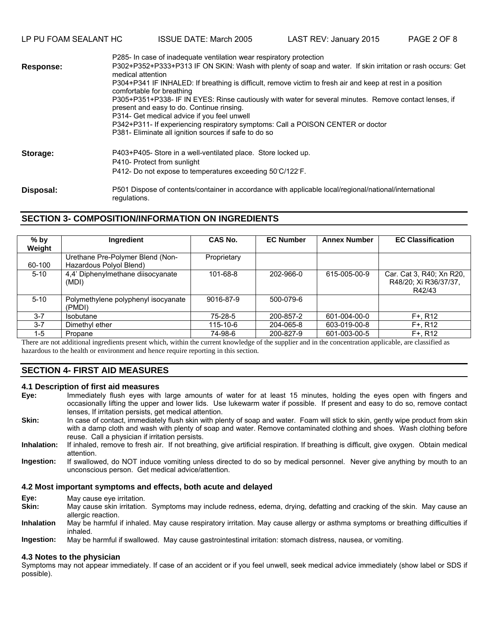LP PU FOAM SEALANT HC ISSUE DATE: March 2005 LAST REV: January 2015 PAGE 2 OF 8

|                  | P285- In case of inadequate ventilation wear respiratory protection                                                                                 |  |  |
|------------------|-----------------------------------------------------------------------------------------------------------------------------------------------------|--|--|
| <b>Response:</b> | P302+P352+P333+P313 IF ON SKIN: Wash with plenty of soap and water. If skin irritation or rash occurs: Get<br>medical attention                     |  |  |
|                  | P304+P341 IF INHALED: If breathing is difficult, remove victim to fresh air and keep at rest in a position<br>comfortable for breathing             |  |  |
|                  | P305+P351+P338- IF IN EYES: Rinse cautiously with water for several minutes. Remove contact lenses, if<br>present and easy to do. Continue rinsing. |  |  |
|                  | P314- Get medical advice if you feel unwell                                                                                                         |  |  |
|                  | P342+P311- If experiencing respiratory symptoms: Call a POISON CENTER or doctor                                                                     |  |  |
|                  | P381- Eliminate all ignition sources if safe to do so                                                                                               |  |  |
| Storage:         | P403+P405- Store in a well-ventilated place. Store locked up.                                                                                       |  |  |
|                  | P410- Protect from sunlight                                                                                                                         |  |  |
|                  | P412- Do not expose to temperatures exceeding 50°C/122°F.                                                                                           |  |  |
| Disposal:        | P501 Dispose of contents/container in accordance with applicable local/regional/national/international<br>regulations.                              |  |  |

## **SECTION 3- COMPOSITION/INFORMATION ON INGREDIENTS**

| $%$ by<br>Weight | Ingredient                                                  | CAS No.        | <b>EC Number</b> | <b>Annex Number</b> | <b>EC Classification</b>                                    |
|------------------|-------------------------------------------------------------|----------------|------------------|---------------------|-------------------------------------------------------------|
| 60-100           | Urethane Pre-Polymer Blend (Non-<br>Hazardous Polyol Blend) | Proprietary    |                  |                     |                                                             |
| $5 - 10$         | 4,4' Diphenylmethane diisocyanate<br>(MDI)                  | $101 - 68 - 8$ | 202-966-0        | 615-005-00-9        | Car. Cat 3, R40; Xn R20,<br>R48/20; Xi R36/37/37,<br>R42/43 |
| $5 - 10$         | Polymethylene polyphenyl isocyanate<br>(PMDI)               | 9016-87-9      | 500-079-6        |                     |                                                             |
| $3 - 7$          | <b>Isobutane</b>                                            | 75-28-5        | 200-857-2        | 601-004-00-0        | $F+. R12$                                                   |
| $3 - 7$          | Dimethyl ether                                              | 115-10-6       | 204-065-8        | 603-019-00-8        | $F+. R12$                                                   |
| $1-5$            | Propane                                                     | 74-98-6        | 200-827-9        | 601-003-00-5        | $F+. R12$                                                   |

There are not additional ingredients present which, within the current knowledge of the supplier and in the concentration applicable, are classified as hazardous to the health or environment and hence require reporting in this section.

## **SECTION 4- FIRST AID MEASURES**

# **4.1 Description of first aid measures**

- Immediately flush eyes with large amounts of water for at least 15 minutes, holding the eyes open with fingers and occasionally lifting the upper and lower lids. Use lukewarm water if possible. If present and easy to do so, remove contact lenses, If irritation persists, get medical attention.
- **Skin:**  In case of contact, immediately flush skin with plenty of soap and water. Foam will stick to skin, gently wipe product from skin with a damp cloth and wash with plenty of soap and water. Remove contaminated clothing and shoes. Wash clothing before reuse. Call a physician if irritation persists.
- **Inhalation:**  If inhaled, remove to fresh air. If not breathing, give artificial respiration. If breathing is difficult, give oxygen. Obtain medical attention.
- **Ingestion:** If swallowed, do NOT induce vomiting unless directed to do so by medical personnel. Never give anything by mouth to an unconscious person. Get medical advice/attention.

#### **4.2 Most important symptoms and effects, both acute and delayed**

- **Eye:** May cause eye irritation.
- **Skin:**  May cause skin irritation. Symptoms may include redness, edema, drying, defatting and cracking of the skin. May cause an allergic reaction.
- **Inhalation**  May be harmful if inhaled. May cause respiratory irritation. May cause allergy or asthma symptoms or breathing difficulties if inhaled.
- **Ingestion:** May be harmful if swallowed. May cause gastrointestinal irritation: stomach distress, nausea, or vomiting.

#### **4.3 Notes to the physician**

Symptoms may not appear immediately. If case of an accident or if you feel unwell, seek medical advice immediately (show label or SDS if possible).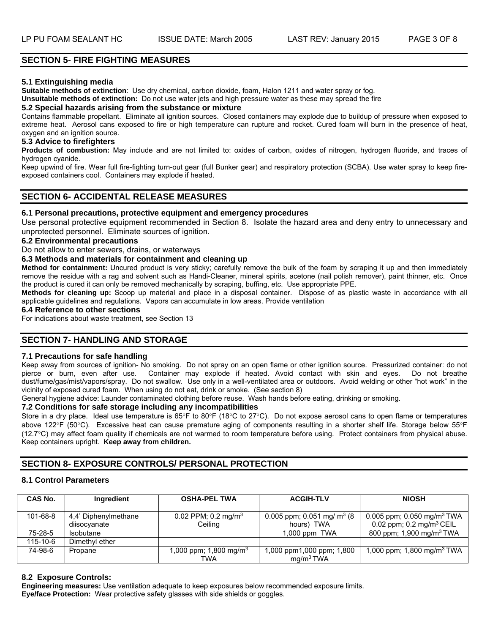## **SECTION 5- FIRE FIGHTING MEASURES**

#### **5.1 Extinguishing media**

**Suitable methods of extinction**: Use dry chemical, carbon dioxide, foam, Halon 1211 and water spray or fog.

**Unsuitable methods of extinction:** Do not use water jets and high pressure water as these may spread the fire

#### **5.2 Special hazards arising from the substance or mixture**

Contains flammable propellant. Eliminate all ignition sources. Closed containers may explode due to buildup of pressure when exposed to extreme heat. Aerosol cans exposed to fire or high temperature can rupture and rocket. Cured foam will burn in the presence of heat, oxygen and an ignition source.

#### **5.3 Advice to firefighters**

**Products of combustion:** May include and are not limited to: oxides of carbon, oxides of nitrogen, hydrogen fluoride, and traces of hydrogen cyanide.

Keep upwind of fire. Wear full fire-fighting turn-out gear (full Bunker gear) and respiratory protection (SCBA). Use water spray to keep fireexposed containers cool. Containers may explode if heated.

## **SECTION 6- ACCIDENTAL RELEASE MEASURES**

#### **6.1 Personal precautions, protective equipment and emergency procedures**

Use personal protective equipment recommended in Section 8. Isolate the hazard area and deny entry to unnecessary and unprotected personnel. Eliminate sources of ignition.

#### **6.2 Environmental precautions**

Do not allow to enter sewers, drains, or waterways

#### **6.3 Methods and materials for containment and cleaning up**

**Method for containment:** Uncured product is very sticky; carefully remove the bulk of the foam by scraping it up and then immediately remove the residue with a rag and solvent such as Handi-Cleaner, mineral spirits, acetone (nail polish remover), paint thinner, etc. Once the product is cured it can only be removed mechanically by scraping, buffing, etc. Use appropriate PPE.

**Methods for cleaning up:** Scoop up material and place in a disposal container. Dispose of as plastic waste in accordance with all applicable guidelines and regulations. Vapors can accumulate in low areas. Provide ventilation

## **6.4 Reference to other sections**

For indications about waste treatment, see Section 13

## **SECTION 7- HANDLING AND STORAGE**

#### **7.1 Precautions for safe handling**

Keep away from sources of ignition- No smoking. Do not spray on an open flame or other ignition source. Pressurized container: do not pierce or burn, even after use. Container may explode if heated. Avoid contact with skin and eyes. Do not breathe dust/fume/gas/mist/vapors/spray. Do not swallow. Use only in a well-ventilated area or outdoors. Avoid welding or other "hot work" in the vicinity of exposed cured foam. When using do not eat, drink or smoke. (See section 8)

General hygiene advice: Launder contaminated clothing before reuse. Wash hands before eating, drinking or smoking.

## **7.2 Conditions for safe storage including any incompatibilities**

Store in a dry place. Ideal use temperature is  $65^\circ$ F to  $80^\circ$ F (18°C to 27°C). Do not expose aerosol cans to open flame or temperatures above 122°F (50°C). Excessive heat can cause premature aging of components resulting in a shorter shelf life. Storage below 55°F (12.7C) may affect foam quality if chemicals are not warmed to room temperature before using. Protect containers from physical abuse. Keep containers upright. **Keep away from children.**

## **SECTION 8- EXPOSURE CONTROLS/ PERSONAL PROTECTION**

#### **8.1 Control Parameters**

| CAS No.  | Ingredient                           | <b>OSHA-PEL TWA</b>                        | <b>ACGIH-TLV</b>                                      | <b>NIOSH</b>                                                                  |
|----------|--------------------------------------|--------------------------------------------|-------------------------------------------------------|-------------------------------------------------------------------------------|
| 101-68-8 | 4,4' Diphenylmethane<br>diisocyanate | 0.02 PPM; 0.2 mg/m <sup>3</sup><br>Ceilina | 0.005 ppm; 0.051 mg/ m <sup>3</sup> (8)<br>hours) TWA | 0.005 ppm; 0.050 mg/m <sup>3</sup> TWA<br>0.02 ppm; $0.2 \text{ mg/m}^3$ CEIL |
| 75-28-5  | Isobutane                            |                                            | 1,000 ppm TWA                                         | 800 ppm; 1,900 mg/m <sup>3</sup> TWA                                          |
| 115-10-6 | Dimethyl ether                       |                                            |                                                       |                                                                               |
| 74-98-6  | Propane                              | 1,000 ppm; 1,800 mg/m <sup>3</sup><br>TWA  | 1,000 ppm1,000 ppm; 1,800<br>mq/m <sup>3</sup> TWA    | 1,000 ppm; 1,800 mg/m <sup>3</sup> TWA                                        |

#### **8.2 Exposure Controls:**

**Engineering measures:** Use ventilation adequate to keep exposures below recommended exposure limits. **Eye/face Protection:** Wear protective safety glasses with side shields or goggles.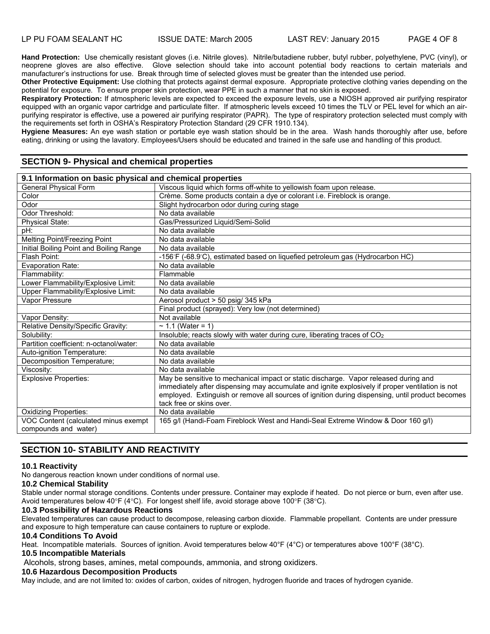**Hand Protection:** Use chemically resistant gloves (i.e. Nitrile gloves). Nitrile/butadiene rubber, butyl rubber, polyethylene, PVC (vinyl), or neoprene gloves are also effective. Glove selection should take into account potential body reactions to certain materials and manufacturer's instructions for use. Break through time of selected gloves must be greater than the intended use period.

**Other Protective Equipment:** Use clothing that protects against dermal exposure. Appropriate protective clothing varies depending on the potential for exposure. To ensure proper skin protection, wear PPE in such a manner that no skin is exposed.

**Respiratory Protection:** If atmospheric levels are expected to exceed the exposure levels, use a NIOSH approved air purifying respirator equipped with an organic vapor cartridge and particulate filter. If atmospheric levels exceed 10 times the TLV or PEL level for which an airpurifying respirator is effective, use a powered air purifying respirator (PAPR). The type of respiratory protection selected must comply with the requirements set forth in OSHA's Respiratory Protection Standard (29 CFR 1910.134).

**Hygiene Measures:** An eye wash station or portable eye wash station should be in the area. Wash hands thoroughly after use, before eating, drinking or using the lavatory. Employees/Users should be educated and trained in the safe use and handling of this product.

## **SECTION 9- Physical and chemical properties**

| 9.1 Information on basic physical and chemical properties    |                                                                                                                                                                                                                                                                                                                        |  |
|--------------------------------------------------------------|------------------------------------------------------------------------------------------------------------------------------------------------------------------------------------------------------------------------------------------------------------------------------------------------------------------------|--|
| <b>General Physical Form</b>                                 | Viscous liquid which forms off-white to yellowish foam upon release.                                                                                                                                                                                                                                                   |  |
| Color                                                        | Crème. Some products contain a dye or colorant i.e. Fireblock is orange.                                                                                                                                                                                                                                               |  |
| Odor                                                         | Slight hydrocarbon odor during curing stage                                                                                                                                                                                                                                                                            |  |
| Odor Threshold:                                              | No data available                                                                                                                                                                                                                                                                                                      |  |
| Physical State:                                              | Gas/Pressurized Liquid/Semi-Solid                                                                                                                                                                                                                                                                                      |  |
| pH:                                                          | No data available                                                                                                                                                                                                                                                                                                      |  |
| Melting Point/Freezing Point                                 | No data available                                                                                                                                                                                                                                                                                                      |  |
| Initial Boiling Point and Boiling Range                      | No data available                                                                                                                                                                                                                                                                                                      |  |
| Flash Point:                                                 | -156°F (-68.9°C), estimated based on liquefied petroleum gas (Hydrocarbon HC)                                                                                                                                                                                                                                          |  |
| <b>Evaporation Rate:</b>                                     | No data available                                                                                                                                                                                                                                                                                                      |  |
| Flammability:                                                | Flammable                                                                                                                                                                                                                                                                                                              |  |
| Lower Flammability/Explosive Limit:                          | No data available                                                                                                                                                                                                                                                                                                      |  |
| Upper Flammability/Explosive Limit:                          | No data available                                                                                                                                                                                                                                                                                                      |  |
| Vapor Pressure                                               | Aerosol product > 50 psig/ 345 kPa                                                                                                                                                                                                                                                                                     |  |
|                                                              | Final product (sprayed): Very low (not determined)                                                                                                                                                                                                                                                                     |  |
| Vapor Density:                                               | Not available                                                                                                                                                                                                                                                                                                          |  |
| Relative Density/Specific Gravity:                           | $\sim$ 1.1 (Water = 1)                                                                                                                                                                                                                                                                                                 |  |
| Solubility:                                                  | Insoluble; reacts slowly with water during cure, liberating traces of CO <sub>2</sub>                                                                                                                                                                                                                                  |  |
| Partition coefficient: n-octanol/water:                      | No data available                                                                                                                                                                                                                                                                                                      |  |
| Auto-ignition Temperature:                                   | No data available                                                                                                                                                                                                                                                                                                      |  |
| Decomposition Temperature;                                   | No data available                                                                                                                                                                                                                                                                                                      |  |
| Viscosity:                                                   | No data available                                                                                                                                                                                                                                                                                                      |  |
| <b>Explosive Properties:</b>                                 | May be sensitive to mechanical impact or static discharge. Vapor released during and<br>immediately after dispensing may accumulate and ignite explosively if proper ventilation is not<br>employed. Extinguish or remove all sources of ignition during dispensing, until product becomes<br>tack free or skins over. |  |
| <b>Oxidizing Properties:</b>                                 | No data available                                                                                                                                                                                                                                                                                                      |  |
| VOC Content (calculated minus exempt<br>compounds and water) | 165 g/l (Handi-Foam Fireblock West and Handi-Seal Extreme Window & Door 160 g/l)                                                                                                                                                                                                                                       |  |

## **SECTION 10- STABILITY AND REACTIVITY**

## **10.1 Reactivity**

No dangerous reaction known under conditions of normal use.

## **10.2 Chemical Stability**

Stable under normal storage conditions. Contents under pressure. Container may explode if heated. Do not pierce or burn, even after use. Avoid temperatures below  $40^{\circ}F (4^{\circ}C)$ . For longest shelf life, avoid storage above 100°F (38°C).

#### **10.3 Possibility of Hazardous Reactions**

Elevated temperatures can cause product to decompose, releasing carbon dioxide. Flammable propellant. Contents are under pressure and exposure to high temperature can cause containers to rupture or explode.

#### **10.4 Conditions To Avoid**

Heat. Incompatible materials. Sources of ignition. Avoid temperatures below 40°F (4°C) or temperatures above 100°F (38°C).

## **10.5 Incompatible Materials**

Alcohols, strong bases, amines, metal compounds, ammonia, and strong oxidizers.

#### **10.6 Hazardous Decomposition Products**

May include, and are not limited to: oxides of carbon, oxides of nitrogen, hydrogen fluoride and traces of hydrogen cyanide.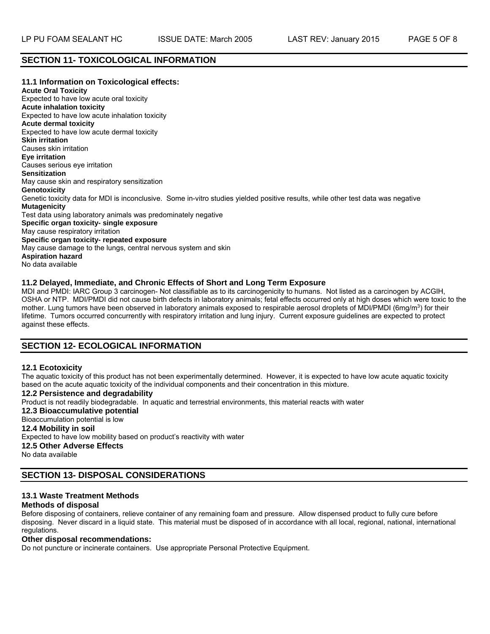## **SECTION 11- TOXICOLOGICAL INFORMATION**

**11.1 Information on Toxicological effects: Acute Oral Toxicity**  Expected to have low acute oral toxicity **Acute inhalation toxicity**  Expected to have low acute inhalation toxicity **Acute dermal toxicity**  Expected to have low acute dermal toxicity **Skin irritation**  Causes skin irritation **Eye irritation**  Causes serious eye irritation **Sensitization**  May cause skin and respiratory sensitization **Genotoxicity**  Genetic toxicity data for MDI is inconclusive. Some in-vitro studies yielded positive results, while other test data was negative **Mutagenicity**  Test data using laboratory animals was predominately negative **Specific organ toxicity- single exposure**  May cause respiratory irritation **Specific organ toxicity- repeated exposure**  May cause damage to the lungs, central nervous system and skin **Aspiration hazard**  No data available

## **11.2 Delayed, Immediate, and Chronic Effects of Short and Long Term Exposure**

MDI and PMDI: IARC Group 3 carcinogen- Not classifiable as to its carcinogenicity to humans. Not listed as a carcinogen by ACGIH, OSHA or NTP. MDI/PMDI did not cause birth defects in laboratory animals; fetal effects occurred only at high doses which were toxic to the mother. Lung tumors have been observed in laboratory animals exposed to respirable aerosol droplets of MDI/PMDI (6mg/m<sup>3</sup>) for their lifetime. Tumors occurred concurrently with respiratory irritation and lung injury. Current exposure guidelines are expected to protect against these effects.

## **SECTION 12- ECOLOGICAL INFORMATION**

#### **12.1 Ecotoxicity**

The aquatic toxicity of this product has not been experimentally determined. However, it is expected to have low acute aquatic toxicity based on the acute aquatic toxicity of the individual components and their concentration in this mixture.

**12.2 Persistence and degradability**  Product is not readily biodegradable. In aquatic and terrestrial environments, this material reacts with water **12.3 Bioaccumulative potential**  Bioaccumulation potential is low **12.4 Mobility in soil**  Expected to have low mobility based on product's reactivity with water **12.5 Other Adverse Effects**  No data available

## **SECTION 13- DISPOSAL CONSIDERATIONS**

# **13.1 Waste Treatment Methods**

## **Methods of disposal**

Before disposing of containers, relieve container of any remaining foam and pressure. Allow dispensed product to fully cure before disposing. Never discard in a liquid state. This material must be disposed of in accordance with all local, regional, national, international regulations.

#### **Other disposal recommendations:**

Do not puncture or incinerate containers. Use appropriate Personal Protective Equipment.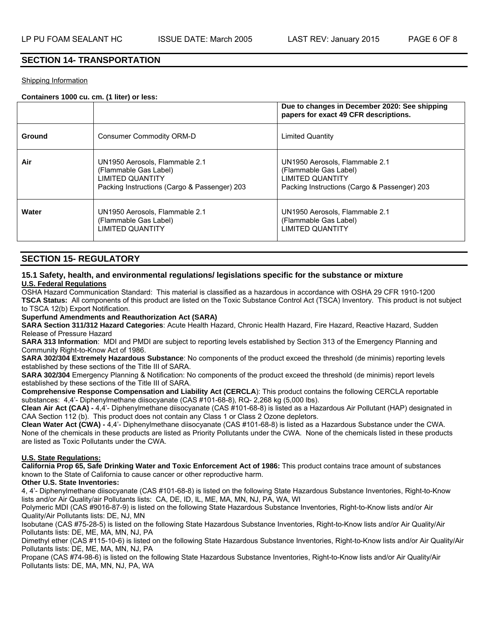## **SECTION 14- TRANSPORTATION**

#### Shipping Information

#### **Containers 1000 cu. cm. (1 liter) or less:**

|        |                                                                                                                                    | Due to changes in December 2020: See shipping<br>papers for exact 49 CFR descriptions.                                      |
|--------|------------------------------------------------------------------------------------------------------------------------------------|-----------------------------------------------------------------------------------------------------------------------------|
| Ground | Consumer Commodity ORM-D                                                                                                           | Limited Quantity                                                                                                            |
| Air    | UN1950 Aerosols, Flammable 2.1<br>(Flammable Gas Label)<br><b>LIMITED QUANTITY</b><br>Packing Instructions (Cargo & Passenger) 203 | UN1950 Aerosols, Flammable 2.1<br>(Flammable Gas Label)<br>LIMITED QUANTITY<br>Packing Instructions (Cargo & Passenger) 203 |
| Water  | UN1950 Aerosols, Flammable 2.1<br>(Flammable Gas Label)<br><b>LIMITED QUANTITY</b>                                                 | UN1950 Aerosols, Flammable 2.1<br>(Flammable Gas Label)<br>LIMITED QUANTITY                                                 |

## **SECTION 15- REGULATORY**

#### **15.1 Safety, health, and environmental regulations/ legislations specific for the substance or mixture U.S. Federal Regulations**

OSHA Hazard Communication Standard: This material is classified as a hazardous in accordance with OSHA 29 CFR 1910-1200 **TSCA Status:** All components of this product are listed on the Toxic Substance Control Act (TSCA) Inventory. This product is not subject to TSCA 12(b) Export Notification.

**Superfund Amendments and Reauthorization Act (SARA)**

**SARA Section 311/312 Hazard Categories**: Acute Health Hazard, Chronic Health Hazard, Fire Hazard, Reactive Hazard, Sudden Release of Pressure Hazard

**SARA 313 Information**: MDI and PMDI are subject to reporting levels established by Section 313 of the Emergency Planning and Community Right-to-Know Act of 1986.

**SARA 302/304 Extremely Hazardous Substance**: No components of the product exceed the threshold (de minimis) reporting levels established by these sections of the Title III of SARA.

**SARA 302/304** Emergency Planning & Notification: No components of the product exceed the threshold (de minimis) report levels established by these sections of the Title III of SARA.

**Comprehensive Response Compensation and Liability Act (CERCLA**): This product contains the following CERCLA reportable substances: 4,4'- Diphenylmethane diisocyanate (CAS #101-68-8), RQ- 2,268 kg (5,000 lbs).

**Clean Air Act (CAA) -** 4,4'- Diphenylmethane diisocyanate (CAS #101-68-8) is listed as a Hazardous Air Pollutant (HAP) designated in CAA Section 112 (b). This product does not contain any Class 1 or Class 2 Ozone depletors.

**Clean Water Act (CWA) -** 4,4'- Diphenylmethane diisocyanate (CAS #101-68-8) is listed as a Hazardous Substance under the CWA. None of the chemicals in these products are listed as Priority Pollutants under the CWA. None of the chemicals listed in these products are listed as Toxic Pollutants under the CWA.

#### **U.S. State Regulations:**

**California Prop 65, Safe Drinking Water and Toxic Enforcement Act of 1986:** This product contains trace amount of substances known to the State of California to cause cancer or other reproductive harm.

#### **Other U.S. State Inventories:**

4, 4'- Diphenylmethane diisocyanate (CAS #101-68-8) is listed on the following State Hazardous Substance Inventories, Right-to-Know lists and/or Air Quality/air Pollutants lists: CA, DE, ID, IL, ME, MA, MN, NJ, PA, WA, WI

Polymeric MDI (CAS #9016-87-9) is listed on the following State Hazardous Substance Inventories, Right-to-Know lists and/or Air Quality/Air Pollutants lists: DE, NJ, MN

Isobutane (CAS #75-28-5) is listed on the following State Hazardous Substance Inventories, Right-to-Know lists and/or Air Quality/Air Pollutants lists: DE, ME, MA, MN, NJ, PA

Dimethyl ether (CAS #115-10-6) is listed on the following State Hazardous Substance Inventories, Right-to-Know lists and/or Air Quality/Air Pollutants lists: DE, ME, MA, MN, NJ, PA

Propane (CAS #74-98-6) is listed on the following State Hazardous Substance Inventories, Right-to-Know lists and/or Air Quality/Air Pollutants lists: DE, MA, MN, NJ, PA, WA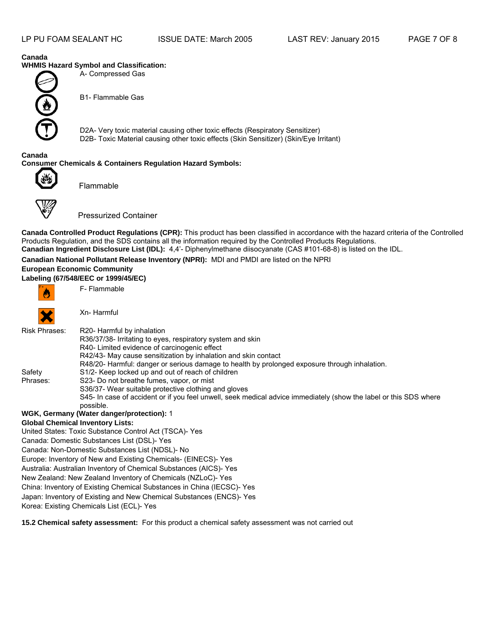#### **Canada WHMIS Hazard Symbol and Classification:**

A- Compressed Gas



B1- Flammable Gas

D2A- Very toxic material causing other toxic effects (Respiratory Sensitizer) D2B- Toxic Material causing other toxic effects (Skin Sensitizer) (Skin/Eye Irritant)

#### **Canada Consumer Chemicals & Containers Regulation Hazard Symbols:**



Flammable



Pressurized Container

**Canada Controlled Product Regulations (CPR):** This product has been classified in accordance with the hazard criteria of the Controlled Products Regulation, and the SDS contains all the information required by the Controlled Products Regulations. **Canadian Ingredient Disclosure List (IDL):** 4,4'- Diphenylmethane diisocyanate (CAS #101-68-8) is listed on the IDL.

## **Canadian National Pollutant Release Inventory (NPRI):** MDI and PMDI are listed on the NPRI

## **European Economic Community**

**Labeling (67/548/EEC or 1999/45/EC)** 



F- Flammable



Xn- Harmful

| <b>Risk Phrases:</b> | R20- Harmful by inhalation                                                                                        |
|----------------------|-------------------------------------------------------------------------------------------------------------------|
|                      | R36/37/38- Irritating to eyes, respiratory system and skin                                                        |
|                      | R40- Limited evidence of carcinogenic effect                                                                      |
|                      | R42/43- May cause sensitization by inhalation and skin contact                                                    |
|                      | R48/20- Harmful: danger or serious damage to health by prolonged exposure through inhalation.                     |
| Safety               | S <sub>1</sub> /2- Keep locked up and out of reach of children                                                    |
| Phrases:             | S23- Do not breathe fumes, vapor, or mist                                                                         |
|                      | S36/37- Wear suitable protective clothing and gloves                                                              |
|                      | S45- In case of accident or if you feel unwell, seek medical advice immediately (show the label or this SDS where |
|                      | possible.                                                                                                         |
|                      | WGK, Germany (Water danger/protection): 1                                                                         |
|                      | <b>Global Chemical Inventory Lists:</b>                                                                           |
|                      | United States: Toxic Substance Control Act (TSCA)- Yes                                                            |
|                      | Canada: Domestic Substances List (DSL)- Yes                                                                       |
|                      | Canada: Non-Domestic Substances List (NDSL)- No                                                                   |
|                      | Europe: Inventory of New and Existing Chemicals- (EINECS)- Yes                                                    |
|                      | Australia: Australian Inventory of Chemical Substances (AICS)- Yes                                                |
|                      | Now Zoaland: Now Zoaland Inventory of Chemicals (NZLoC), Vos                                                      |

New Zealand: New Zealand Inventory of Chemicals (NZLoC)- Yes China: Inventory of Existing Chemical Substances in China (IECSC)- Yes

Japan: Inventory of Existing and New Chemical Substances (ENCS)- Yes

Korea: Existing Chemicals List (ECL)- Yes

**15.2 Chemical safety assessment:** For this product a chemical safety assessment was not carried out